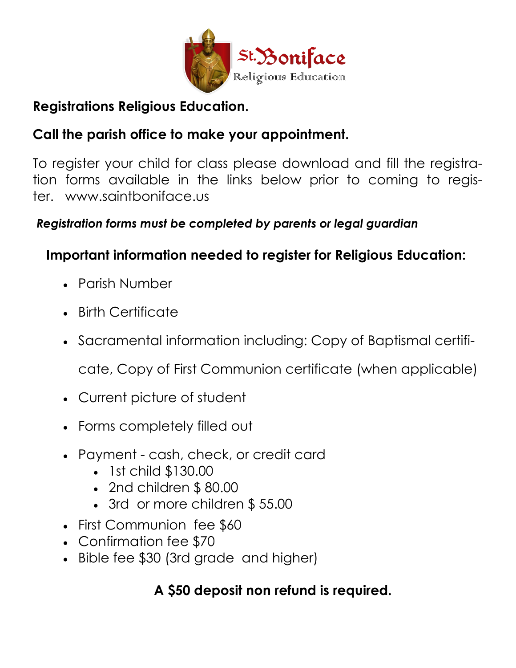

## **Registrations Religious Education.**

# **Call the parish office to make your appointment.**

To register your child for class please download and fill the registration forms available in the links below prior to coming to register. www.saintboniface.us

#### *Registration forms must be completed by parents or legal guardian*

## **Important information needed to register for Religious Education:**

- Parish Number
- Birth Certificate
- Sacramental information including: Copy of Baptismal certifi-

cate, Copy of First Communion certificate (when applicable)

- Current picture of student
- Forms completely filled out
- Payment cash, check, or credit card
	- 1st child \$130.00
	- 2nd children \$ 80.00
	- 3rd or more children \$55.00
- First Communion fee \$60
- Confirmation fee \$70
- Bible fee \$30 (3rd grade and higher)

## **A \$50 deposit non refund is required.**